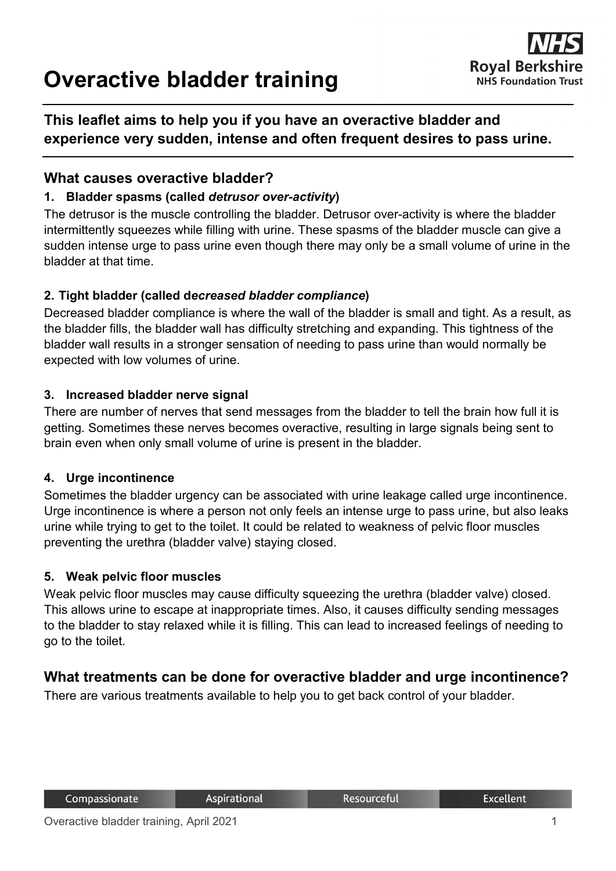# **Overactive bladder training**



# **This leaflet aims to help you if you have an overactive bladder and experience very sudden, intense and often frequent desires to pass urine.**

#### **What causes overactive bladder?**

#### **1. Bladder spasms (called** *detrusor over-activity***)**

The detrusor is the muscle controlling the bladder. Detrusor over-activity is where the bladder intermittently squeezes while filling with urine. These spasms of the bladder muscle can give a sudden intense urge to pass urine even though there may only be a small volume of urine in the bladder at that time.

#### **2. Tight bladder (called d***ecreased bladder compliance***)**

Decreased bladder compliance is where the wall of the bladder is small and tight. As a result, as the bladder fills, the bladder wall has difficulty stretching and expanding. This tightness of the bladder wall results in a stronger sensation of needing to pass urine than would normally be expected with low volumes of urine.

#### **3. Increased bladder nerve signal**

There are number of nerves that send messages from the bladder to tell the brain how full it is getting. Sometimes these nerves becomes overactive, resulting in large signals being sent to brain even when only small volume of urine is present in the bladder.

#### **4. Urge incontinence**

Sometimes the bladder urgency can be associated with urine leakage called urge incontinence. Urge incontinence is where a person not only feels an intense urge to pass urine, but also leaks urine while trying to get to the toilet. It could be related to weakness of pelvic floor muscles preventing the urethra (bladder valve) staying closed.

#### **5. Weak pelvic floor muscles**

Weak pelvic floor muscles may cause difficulty squeezing the urethra (bladder valve) closed. This allows urine to escape at inappropriate times. Also, it causes difficulty sending messages to the bladder to stay relaxed while it is filling. This can lead to increased feelings of needing to go to the toilet.

## **What treatments can be done for overactive bladder and urge incontinence?**

There are various treatments available to help you to get back control of your bladder.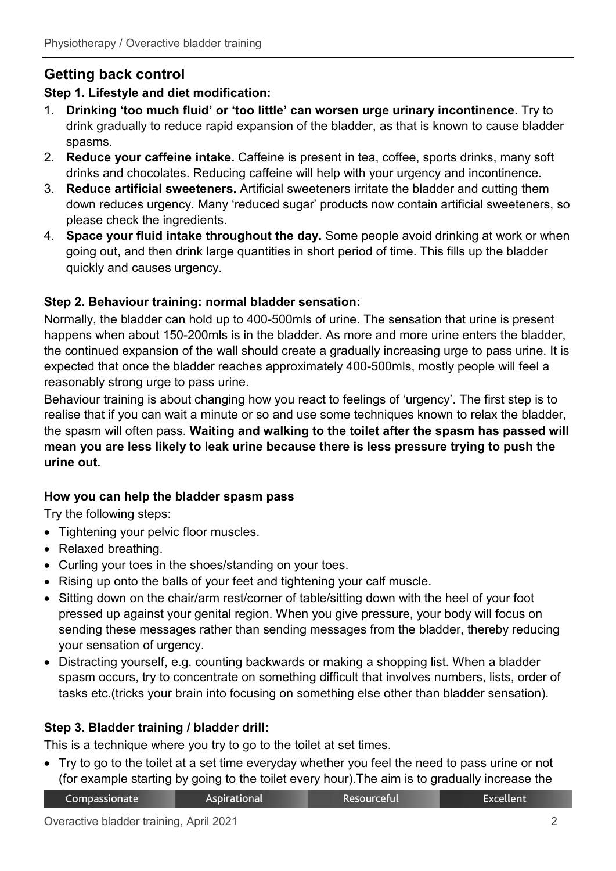# **Getting back control**

## **Step 1. Lifestyle and diet modification:**

- 1. **Drinking 'too much fluid' or 'too little' can worsen urge urinary incontinence.** Try to drink gradually to reduce rapid expansion of the bladder, as that is known to cause bladder spasms.
- 2. **Reduce your caffeine intake.** Caffeine is present in tea, coffee, sports drinks, many soft drinks and chocolates. Reducing caffeine will help with your urgency and incontinence.
- 3. **Reduce artificial sweeteners.** Artificial sweeteners irritate the bladder and cutting them down reduces urgency. Many 'reduced sugar' products now contain artificial sweeteners, so please check the ingredients.
- 4. **Space your fluid intake throughout the day.** Some people avoid drinking at work or when going out, and then drink large quantities in short period of time. This fills up the bladder quickly and causes urgency.

## **Step 2. Behaviour training: normal bladder sensation:**

Normally, the bladder can hold up to 400-500mls of urine. The sensation that urine is present happens when about 150-200mls is in the bladder. As more and more urine enters the bladder, the continued expansion of the wall should create a gradually increasing urge to pass urine. It is expected that once the bladder reaches approximately 400-500mls, mostly people will feel a reasonably strong urge to pass urine.

Behaviour training is about changing how you react to feelings of 'urgency'. The first step is to realise that if you can wait a minute or so and use some techniques known to relax the bladder, the spasm will often pass. **Waiting and walking to the toilet after the spasm has passed will mean you are less likely to leak urine because there is less pressure trying to push the urine out.**

## **How you can help the bladder spasm pass**

Try the following steps:

- Tightening your pelvic floor muscles.
- Relaxed breathing.
- Curling your toes in the shoes/standing on your toes.
- Rising up onto the balls of your feet and tightening your calf muscle.
- Sitting down on the chair/arm rest/corner of table/sitting down with the heel of your foot pressed up against your genital region. When you give pressure, your body will focus on sending these messages rather than sending messages from the bladder, thereby reducing your sensation of urgency.
- Distracting yourself, e.g. counting backwards or making a shopping list. When a bladder spasm occurs, try to concentrate on something difficult that involves numbers, lists, order of tasks etc.(tricks your brain into focusing on something else other than bladder sensation).

## **Step 3. Bladder training / bladder drill:**

This is a technique where you try to go to the toilet at set times.

• Try to go to the toilet at a set time everyday whether you feel the need to pass urine or not (for example starting by going to the toilet every hour).The aim is to gradually increase the

| Compassionate | Aspirational |
|---------------|--------------|
|---------------|--------------|